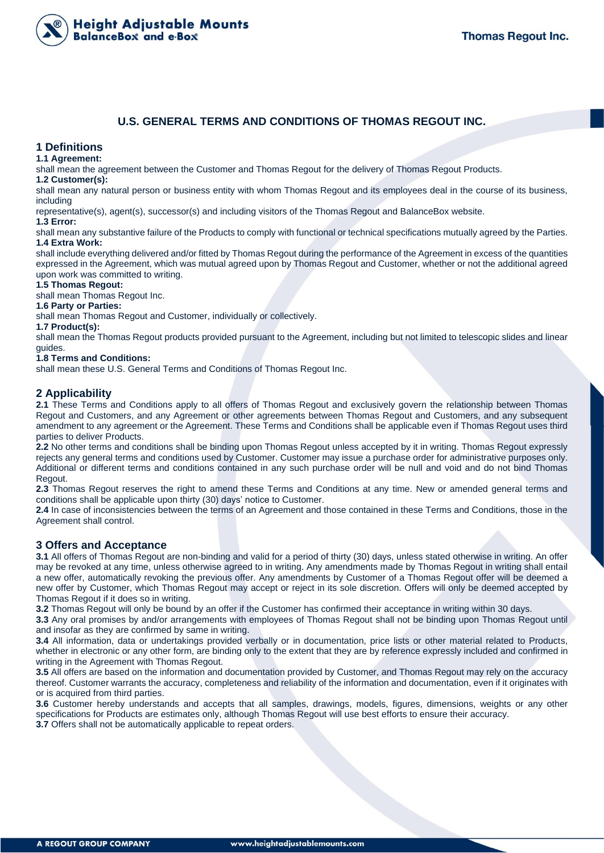

# **U.S. GENERAL TERMS AND CONDITIONS OF THOMAS REGOUT INC.**

# **1 Definitions**

#### **1.1 Agreement:**

shall mean the agreement between the Customer and Thomas Regout for the delivery of Thomas Regout Products.

#### **1.2 Customer(s):**

shall mean any natural person or business entity with whom Thomas Regout and its employees deal in the course of its business, including

representative(s), agent(s), successor(s) and including visitors of the Thomas Regout and BalanceBox website.

#### **1.3 Error:**

shall mean any substantive failure of the Products to comply with functional or technical specifications mutually agreed by the Parties. **1.4 Extra Work:**

shall include everything delivered and/or fitted by Thomas Regout during the performance of the Agreement in excess of the quantities expressed in the Agreement, which was mutual agreed upon by Thomas Regout and Customer, whether or not the additional agreed upon work was committed to writing.

#### **1.5 Thomas Regout:**

shall mean Thomas Regout Inc.

## **1.6 Party or Parties:**

shall mean Thomas Regout and Customer, individually or collectively.

#### **1.7 Product(s):**

shall mean the Thomas Regout products provided pursuant to the Agreement, including but not limited to telescopic slides and linear guides.

#### **1.8 Terms and Conditions:**

shall mean these U.S. General Terms and Conditions of Thomas Regout Inc.

# **2 Applicability**

**2.1** These Terms and Conditions apply to all offers of Thomas Regout and exclusively govern the relationship between Thomas Regout and Customers, and any Agreement or other agreements between Thomas Regout and Customers, and any subsequent amendment to any agreement or the Agreement. These Terms and Conditions shall be applicable even if Thomas Regout uses third parties to deliver Products.

**2.2** No other terms and conditions shall be binding upon Thomas Regout unless accepted by it in writing. Thomas Regout expressly rejects any general terms and conditions used by Customer. Customer may issue a purchase order for administrative purposes only. Additional or different terms and conditions contained in any such purchase order will be null and void and do not bind Thomas Regout.

**2.3** Thomas Regout reserves the right to amend these Terms and Conditions at any time. New or amended general terms and conditions shall be applicable upon thirty (30) days' notice to Customer.

**2.4** In case of inconsistencies between the terms of an Agreement and those contained in these Terms and Conditions, those in the Agreement shall control.

## **3 Offers and Acceptance**

**3.1** All offers of Thomas Regout are non-binding and valid for a period of thirty (30) days, unless stated otherwise in writing. An offer may be revoked at any time, unless otherwise agreed to in writing. Any amendments made by Thomas Regout in writing shall entail a new offer, automatically revoking the previous offer. Any amendments by Customer of a Thomas Regout offer will be deemed a new offer by Customer, which Thomas Regout may accept or reject in its sole discretion. Offers will only be deemed accepted by Thomas Regout if it does so in writing.

**3.2** Thomas Regout will only be bound by an offer if the Customer has confirmed their acceptance in writing within 30 days.

**3.3** Any oral promises by and/or arrangements with employees of Thomas Regout shall not be binding upon Thomas Regout until and insofar as they are confirmed by same in writing.

**3.4** All information, data or undertakings provided verbally or in documentation, price lists or other material related to Products, whether in electronic or any other form, are binding only to the extent that they are by reference expressly included and confirmed in writing in the Agreement with Thomas Regout.

**3.5** All offers are based on the information and documentation provided by Customer, and Thomas Regout may rely on the accuracy thereof. Customer warrants the accuracy, completeness and reliability of the information and documentation, even if it originates with or is acquired from third parties.

**3.6** Customer hereby understands and accepts that all samples, drawings, models, figures, dimensions, weights or any other specifications for Products are estimates only, although Thomas Regout will use best efforts to ensure their accuracy. **3.7** Offers shall not be automatically applicable to repeat orders.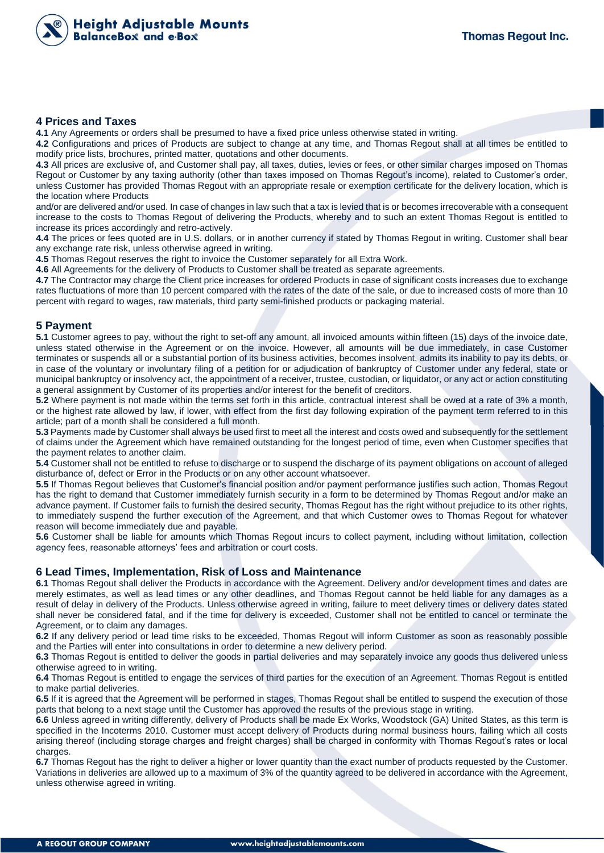

## **4 Prices and Taxes**

**4.1** Any Agreements or orders shall be presumed to have a fixed price unless otherwise stated in writing.

**4.2** Configurations and prices of Products are subject to change at any time, and Thomas Regout shall at all times be entitled to modify price lists, brochures, printed matter, quotations and other documents.

**4.3** All prices are exclusive of, and Customer shall pay, all taxes, duties, levies or fees, or other similar charges imposed on Thomas Regout or Customer by any taxing authority (other than taxes imposed on Thomas Regout's income), related to Customer's order, unless Customer has provided Thomas Regout with an appropriate resale or exemption certificate for the delivery location, which is the location where Products

and/or are delivered and/or used. In case of changes in law such that a tax is levied that is or becomes irrecoverable with a consequent increase to the costs to Thomas Regout of delivering the Products, whereby and to such an extent Thomas Regout is entitled to increase its prices accordingly and retro-actively.

**4.4** The prices or fees quoted are in U.S. dollars, or in another currency if stated by Thomas Regout in writing. Customer shall bear any exchange rate risk, unless otherwise agreed in writing.

**4.5** Thomas Regout reserves the right to invoice the Customer separately for all Extra Work.

**4.6** All Agreements for the delivery of Products to Customer shall be treated as separate agreements.

**4.7** The Contractor may charge the Client price increases for ordered Products in case of significant costs increases due to exchange rates fluctuations of more than 10 percent compared with the rates of the date of the sale, or due to increased costs of more than 10 percent with regard to wages, raw materials, third party semi-finished products or packaging material.

## **5 Payment**

**5.1** Customer agrees to pay, without the right to set-off any amount, all invoiced amounts within fifteen (15) days of the invoice date, unless stated otherwise in the Agreement or on the invoice. However, all amounts will be due immediately, in case Customer terminates or suspends all or a substantial portion of its business activities, becomes insolvent, admits its inability to pay its debts, or in case of the voluntary or involuntary filing of a petition for or adjudication of bankruptcy of Customer under any federal, state or municipal bankruptcy or insolvency act, the appointment of a receiver, trustee, custodian, or liquidator, or any act or action constituting a general assignment by Customer of its properties and/or interest for the benefit of creditors.

**5.2** Where payment is not made within the terms set forth in this article, contractual interest shall be owed at a rate of 3% a month, or the highest rate allowed by law, if lower, with effect from the first day following expiration of the payment term referred to in this article; part of a month shall be considered a full month.

**5.3** Payments made by Customer shall always be used first to meet all the interest and costs owed and subsequently for the settlement of claims under the Agreement which have remained outstanding for the longest period of time, even when Customer specifies that the payment relates to another claim.

**5.4** Customer shall not be entitled to refuse to discharge or to suspend the discharge of its payment obligations on account of alleged disturbance of, defect or Error in the Products or on any other account whatsoever.

**5.5** If Thomas Regout believes that Customer's financial position and/or payment performance justifies such action, Thomas Regout has the right to demand that Customer immediately furnish security in a form to be determined by Thomas Regout and/or make an advance payment. If Customer fails to furnish the desired security, Thomas Regout has the right without prejudice to its other rights, to immediately suspend the further execution of the Agreement, and that which Customer owes to Thomas Regout for whatever reason will become immediately due and payable.

**5.6** Customer shall be liable for amounts which Thomas Regout incurs to collect payment, including without limitation, collection agency fees, reasonable attorneys' fees and arbitration or court costs.

## **6 Lead Times, Implementation, Risk of Loss and Maintenance**

**6.1** Thomas Regout shall deliver the Products in accordance with the Agreement. Delivery and/or development times and dates are merely estimates, as well as lead times or any other deadlines, and Thomas Regout cannot be held liable for any damages as a result of delay in delivery of the Products. Unless otherwise agreed in writing, failure to meet delivery times or delivery dates stated shall never be considered fatal, and if the time for delivery is exceeded, Customer shall not be entitled to cancel or terminate the Agreement, or to claim any damages.

**6.2** If any delivery period or lead time risks to be exceeded, Thomas Regout will inform Customer as soon as reasonably possible and the Parties will enter into consultations in order to determine a new delivery period.

**6.3** Thomas Regout is entitled to deliver the goods in partial deliveries and may separately invoice any goods thus delivered unless otherwise agreed to in writing.

**6.4** Thomas Regout is entitled to engage the services of third parties for the execution of an Agreement. Thomas Regout is entitled to make partial deliveries.

**6.5** If it is agreed that the Agreement will be performed in stages, Thomas Regout shall be entitled to suspend the execution of those parts that belong to a next stage until the Customer has approved the results of the previous stage in writing.

**6.6** Unless agreed in writing differently, delivery of Products shall be made Ex Works, Woodstock (GA) United States, as this term is specified in the Incoterms 2010. Customer must accept delivery of Products during normal business hours, failing which all costs arising thereof (including storage charges and freight charges) shall be charged in conformity with Thomas Regout's rates or local charges.

**6.7** Thomas Regout has the right to deliver a higher or lower quantity than the exact number of products requested by the Customer. Variations in deliveries are allowed up to a maximum of 3% of the quantity agreed to be delivered in accordance with the Agreement, unless otherwise agreed in writing.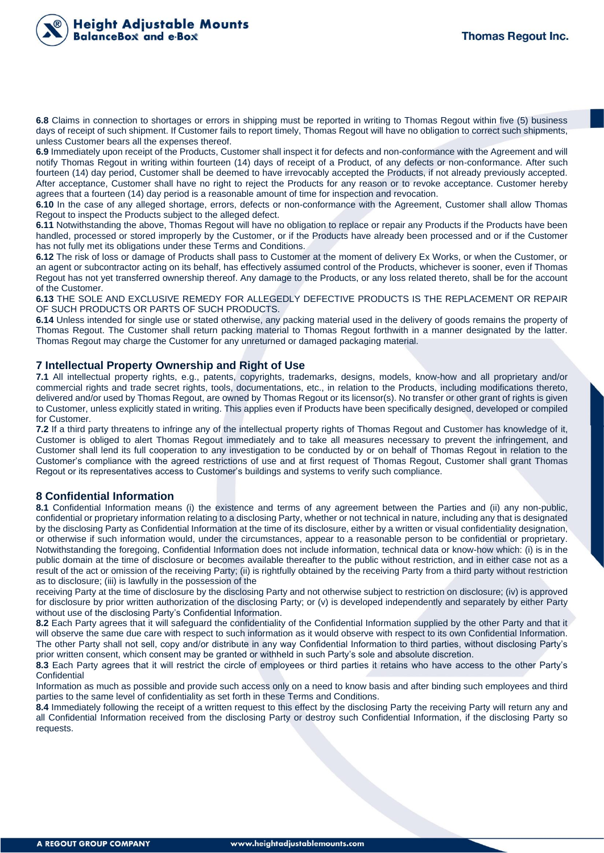

**6.8** Claims in connection to shortages or errors in shipping must be reported in writing to Thomas Regout within five (5) business days of receipt of such shipment. If Customer fails to report timely, Thomas Regout will have no obligation to correct such shipments, unless Customer bears all the expenses thereof.

**6.9** Immediately upon receipt of the Products, Customer shall inspect it for defects and non-conformance with the Agreement and will notify Thomas Regout in writing within fourteen (14) days of receipt of a Product, of any defects or non-conformance. After such fourteen (14) day period, Customer shall be deemed to have irrevocably accepted the Products, if not already previously accepted. After acceptance, Customer shall have no right to reject the Products for any reason or to revoke acceptance. Customer hereby agrees that a fourteen (14) day period is a reasonable amount of time for inspection and revocation.

**6.10** In the case of any alleged shortage, errors, defects or non-conformance with the Agreement, Customer shall allow Thomas Regout to inspect the Products subject to the alleged defect.

**6.11** Notwithstanding the above, Thomas Regout will have no obligation to replace or repair any Products if the Products have been handled, processed or stored improperly by the Customer, or if the Products have already been processed and or if the Customer has not fully met its obligations under these Terms and Conditions.

**6.12** The risk of loss or damage of Products shall pass to Customer at the moment of delivery Ex Works, or when the Customer, or an agent or subcontractor acting on its behalf, has effectively assumed control of the Products, whichever is sooner, even if Thomas Regout has not yet transferred ownership thereof. Any damage to the Products, or any loss related thereto, shall be for the account of the Customer.

**6.13** THE SOLE AND EXCLUSIVE REMEDY FOR ALLEGEDLY DEFECTIVE PRODUCTS IS THE REPLACEMENT OR REPAIR OF SUCH PRODUCTS OR PARTS OF SUCH PRODUCTS.

**6.14** Unless intended for single use or stated otherwise, any packing material used in the delivery of goods remains the property of Thomas Regout. The Customer shall return packing material to Thomas Regout forthwith in a manner designated by the latter. Thomas Regout may charge the Customer for any unreturned or damaged packaging material.

## **7 Intellectual Property Ownership and Right of Use**

**7.1** All intellectual property rights, e.g., patents, copyrights, trademarks, designs, models, know-how and all proprietary and/or commercial rights and trade secret rights, tools, documentations, etc., in relation to the Products, including modifications thereto, delivered and/or used by Thomas Regout, are owned by Thomas Regout or its licensor(s). No transfer or other grant of rights is given to Customer, unless explicitly stated in writing. This applies even if Products have been specifically designed, developed or compiled for Customer.

**7.2** If a third party threatens to infringe any of the intellectual property rights of Thomas Regout and Customer has knowledge of it, Customer is obliged to alert Thomas Regout immediately and to take all measures necessary to prevent the infringement, and Customer shall lend its full cooperation to any investigation to be conducted by or on behalf of Thomas Regout in relation to the Customer's compliance with the agreed restrictions of use and at first request of Thomas Regout, Customer shall grant Thomas Regout or its representatives access to Customer's buildings and systems to verify such compliance.

## **8 Confidential Information**

**8.1** Confidential Information means (i) the existence and terms of any agreement between the Parties and (ii) any non-public, confidential or proprietary information relating to a disclosing Party, whether or not technical in nature, including any that is designated by the disclosing Party as Confidential Information at the time of its disclosure, either by a written or visual confidentiality designation, or otherwise if such information would, under the circumstances, appear to a reasonable person to be confidential or proprietary. Notwithstanding the foregoing, Confidential Information does not include information, technical data or know-how which: (i) is in the public domain at the time of disclosure or becomes available thereafter to the public without restriction, and in either case not as a result of the act or omission of the receiving Party; (ii) is rightfully obtained by the receiving Party from a third party without restriction as to disclosure; (iii) is lawfully in the possession of the

receiving Party at the time of disclosure by the disclosing Party and not otherwise subject to restriction on disclosure; (iv) is approved for disclosure by prior written authorization of the disclosing Party; or (v) is developed independently and separately by either Party without use of the disclosing Party's Confidential Information.

**8.2** Each Party agrees that it will safeguard the confidentiality of the Confidential Information supplied by the other Party and that it will observe the same due care with respect to such information as it would observe with respect to its own Confidential Information. The other Party shall not sell, copy and/or distribute in any way Confidential Information to third parties, without disclosing Party's prior written consent, which consent may be granted or withheld in such Party's sole and absolute discretion.

**8.3** Each Party agrees that it will restrict the circle of employees or third parties it retains who have access to the other Party's **Confidential** 

Information as much as possible and provide such access only on a need to know basis and after binding such employees and third parties to the same level of confidentiality as set forth in these Terms and Conditions.

**8.4** Immediately following the receipt of a written request to this effect by the disclosing Party the receiving Party will return any and all Confidential Information received from the disclosing Party or destroy such Confidential Information, if the disclosing Party so requests.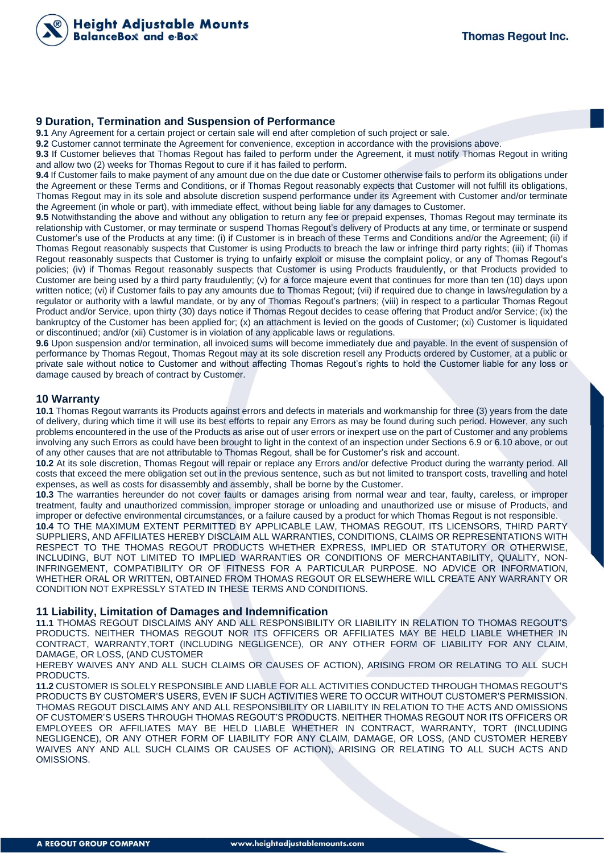

#### **9 Duration, Termination and Suspension of Performance**

**9.1** Any Agreement for a certain project or certain sale will end after completion of such project or sale.

**9.2** Customer cannot terminate the Agreement for convenience, exception in accordance with the provisions above.

**9.3** If Customer believes that Thomas Regout has failed to perform under the Agreement, it must notify Thomas Regout in writing and allow two (2) weeks for Thomas Regout to cure if it has failed to perform.

**9.4** If Customer fails to make payment of any amount due on the due date or Customer otherwise fails to perform its obligations under the Agreement or these Terms and Conditions, or if Thomas Regout reasonably expects that Customer will not fulfill its obligations, Thomas Regout may in its sole and absolute discretion suspend performance under its Agreement with Customer and/or terminate the Agreement (in whole or part), with immediate effect, without being liable for any damages to Customer.

**9.5** Notwithstanding the above and without any obligation to return any fee or prepaid expenses, Thomas Regout may terminate its relationship with Customer, or may terminate or suspend Thomas Regout's delivery of Products at any time, or terminate or suspend Customer's use of the Products at any time: (i) if Customer is in breach of these Terms and Conditions and/or the Agreement; (ii) if Thomas Regout reasonably suspects that Customer is using Products to breach the law or infringe third party rights; (iii) if Thomas Regout reasonably suspects that Customer is trying to unfairly exploit or misuse the complaint policy, or any of Thomas Regout's policies; (iv) if Thomas Regout reasonably suspects that Customer is using Products fraudulently, or that Products provided to Customer are being used by a third party fraudulently; (v) for a force majeure event that continues for more than ten (10) days upon written notice; (vi) if Customer fails to pay any amounts due to Thomas Regout; (vii) if required due to change in laws/regulation by a regulator or authority with a lawful mandate, or by any of Thomas Regout's partners; (viii) in respect to a particular Thomas Regout Product and/or Service, upon thirty (30) days notice if Thomas Regout decides to cease offering that Product and/or Service; (ix) the bankruptcy of the Customer has been applied for; (x) an attachment is levied on the goods of Customer; (xi) Customer is liquidated or discontinued; and/or (xii) Customer is in violation of any applicable laws or regulations.

**9.6** Upon suspension and/or termination, all invoiced sums will become immediately due and payable. In the event of suspension of performance by Thomas Regout, Thomas Regout may at its sole discretion resell any Products ordered by Customer, at a public or private sale without notice to Customer and without affecting Thomas Regout's rights to hold the Customer liable for any loss or damage caused by breach of contract by Customer.

# **10 Warranty**

**10.1** Thomas Regout warrants its Products against errors and defects in materials and workmanship for three (3) years from the date of delivery, during which time it will use its best efforts to repair any Errors as may be found during such period. However, any such problems encountered in the use of the Products as arise out of user errors or inexpert use on the part of Customer and any problems involving any such Errors as could have been brought to light in the context of an inspection under Sections 6.9 or 6.10 above, or out of any other causes that are not attributable to Thomas Regout, shall be for Customer's risk and account.

**10.2** At its sole discretion, Thomas Regout will repair or replace any Errors and/or defective Product during the warranty period. All costs that exceed the mere obligation set out in the previous sentence, such as but not limited to transport costs, travelling and hotel expenses, as well as costs for disassembly and assembly, shall be borne by the Customer.

**10.3** The warranties hereunder do not cover faults or damages arising from normal wear and tear, faulty, careless, or improper treatment, faulty and unauthorized commission, improper storage or unloading and unauthorized use or misuse of Products, and improper or defective environmental circumstances, or a failure caused by a product for which Thomas Regout is not responsible.

**10.4** TO THE MAXIMUM EXTENT PERMITTED BY APPLICABLE LAW, THOMAS REGOUT, ITS LICENSORS, THIRD PARTY SUPPLIERS, AND AFFILIATES HEREBY DISCLAIM ALL WARRANTIES, CONDITIONS, CLAIMS OR REPRESENTATIONS WITH RESPECT TO THE THOMAS REGOUT PRODUCTS WHETHER EXPRESS, IMPLIED OR STATUTORY OR OTHERWISE, INCLUDING, BUT NOT LIMITED TO IMPLIED WARRANTIES OR CONDITIONS OF MERCHANTABILITY, QUALITY, NON-INFRINGEMENT, COMPATIBILITY OR OF FITNESS FOR A PARTICULAR PURPOSE. NO ADVICE OR INFORMATION, WHETHER ORAL OR WRITTEN, OBTAINED FROM THOMAS REGOUT OR ELSEWHERE WILL CREATE ANY WARRANTY OR CONDITION NOT EXPRESSLY STATED IN THESE TERMS AND CONDITIONS.

## **11 Liability, Limitation of Damages and Indemnification**

**11.1** THOMAS REGOUT DISCLAIMS ANY AND ALL RESPONSIBILITY OR LIABILITY IN RELATION TO THOMAS REGOUT'S PRODUCTS. NEITHER THOMAS REGOUT NOR ITS OFFICERS OR AFFILIATES MAY BE HELD LIABLE WHETHER IN CONTRACT, WARRANTY,TORT (INCLUDING NEGLIGENCE), OR ANY OTHER FORM OF LIABILITY FOR ANY CLAIM, DAMAGE, OR LOSS, (AND CUSTOMER

HEREBY WAIVES ANY AND ALL SUCH CLAIMS OR CAUSES OF ACTION), ARISING FROM OR RELATING TO ALL SUCH PRODUCTS.

**11.2** CUSTOMER IS SOLELY RESPONSIBLE AND LIABLE FOR ALL ACTIVITIES CONDUCTED THROUGH THOMAS REGOUT'S PRODUCTS BY CUSTOMER'S USERS, EVEN IF SUCH ACTIVITIES WERE TO OCCUR WITHOUT CUSTOMER'S PERMISSION. THOMAS REGOUT DISCLAIMS ANY AND ALL RESPONSIBILITY OR LIABILITY IN RELATION TO THE ACTS AND OMISSIONS OF CUSTOMER'S USERS THROUGH THOMAS REGOUT'S PRODUCTS. NEITHER THOMAS REGOUT NOR ITS OFFICERS OR EMPLOYEES OR AFFILIATES MAY BE HELD LIABLE WHETHER IN CONTRACT, WARRANTY, TORT (INCLUDING NEGLIGENCE), OR ANY OTHER FORM OF LIABILITY FOR ANY CLAIM, DAMAGE, OR LOSS, (AND CUSTOMER HEREBY WAIVES ANY AND ALL SUCH CLAIMS OR CAUSES OF ACTION), ARISING OR RELATING TO ALL SUCH ACTS AND OMISSIONS.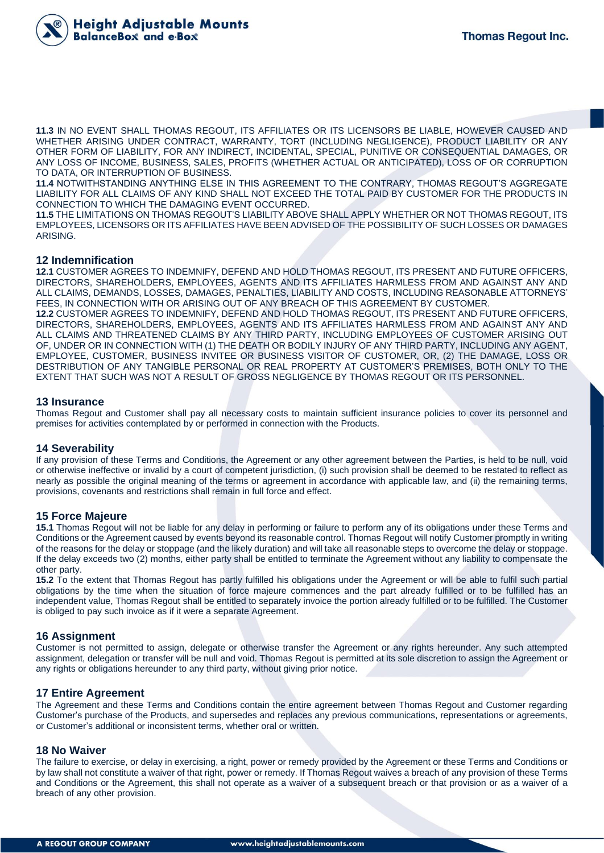

**11.3** IN NO EVENT SHALL THOMAS REGOUT, ITS AFFILIATES OR ITS LICENSORS BE LIABLE, HOWEVER CAUSED AND WHETHER ARISING UNDER CONTRACT, WARRANTY, TORT (INCLUDING NEGLIGENCE), PRODUCT LIABILITY OR ANY OTHER FORM OF LIABILITY, FOR ANY INDIRECT, INCIDENTAL, SPECIAL, PUNITIVE OR CONSEQUENTIAL DAMAGES, OR ANY LOSS OF INCOME, BUSINESS, SALES, PROFITS (WHETHER ACTUAL OR ANTICIPATED), LOSS OF OR CORRUPTION TO DATA, OR INTERRUPTION OF BUSINESS.

**11.4** NOTWITHSTANDING ANYTHING ELSE IN THIS AGREEMENT TO THE CONTRARY, THOMAS REGOUT'S AGGREGATE LIABILITY FOR ALL CLAIMS OF ANY KIND SHALL NOT EXCEED THE TOTAL PAID BY CUSTOMER FOR THE PRODUCTS IN CONNECTION TO WHICH THE DAMAGING EVENT OCCURRED.

**11.5** THE LIMITATIONS ON THOMAS REGOUT'S LIABILITY ABOVE SHALL APPLY WHETHER OR NOT THOMAS REGOUT, ITS EMPLOYEES, LICENSORS OR ITS AFFILIATES HAVE BEEN ADVISED OF THE POSSIBILITY OF SUCH LOSSES OR DAMAGES ARISING.

#### **12 Indemnification**

**12.1** CUSTOMER AGREES TO INDEMNIFY, DEFEND AND HOLD THOMAS REGOUT, ITS PRESENT AND FUTURE OFFICERS, DIRECTORS, SHAREHOLDERS, EMPLOYEES, AGENTS AND ITS AFFILIATES HARMLESS FROM AND AGAINST ANY AND ALL CLAIMS, DEMANDS, LOSSES, DAMAGES, PENALTIES, LIABILITY AND COSTS, INCLUDING REASONABLE ATTORNEYS' FEES, IN CONNECTION WITH OR ARISING OUT OF ANY BREACH OF THIS AGREEMENT BY CUSTOMER.

**12.2** CUSTOMER AGREES TO INDEMNIFY, DEFEND AND HOLD THOMAS REGOUT, ITS PRESENT AND FUTURE OFFICERS, DIRECTORS, SHAREHOLDERS, EMPLOYEES, AGENTS AND ITS AFFILIATES HARMLESS FROM AND AGAINST ANY AND ALL CLAIMS AND THREATENED CLAIMS BY ANY THIRD PARTY, INCLUDING EMPLOYEES OF CUSTOMER ARISING OUT OF, UNDER OR IN CONNECTION WITH (1) THE DEATH OR BODILY INJURY OF ANY THIRD PARTY, INCLUDING ANY AGENT, EMPLOYEE, CUSTOMER, BUSINESS INVITEE OR BUSINESS VISITOR OF CUSTOMER, OR, (2) THE DAMAGE, LOSS OR DESTRIBUTION OF ANY TANGIBLE PERSONAL OR REAL PROPERTY AT CUSTOMER'S PREMISES, BOTH ONLY TO THE EXTENT THAT SUCH WAS NOT A RESULT OF GROSS NEGLIGENCE BY THOMAS REGOUT OR ITS PERSONNEL.

## **13 Insurance**

Thomas Regout and Customer shall pay all necessary costs to maintain sufficient insurance policies to cover its personnel and premises for activities contemplated by or performed in connection with the Products.

## **14 Severability**

If any provision of these Terms and Conditions, the Agreement or any other agreement between the Parties, is held to be null, void or otherwise ineffective or invalid by a court of competent jurisdiction, (i) such provision shall be deemed to be restated to reflect as nearly as possible the original meaning of the terms or agreement in accordance with applicable law, and (ii) the remaining terms, provisions, covenants and restrictions shall remain in full force and effect.

## **15 Force Majeure**

**15.1** Thomas Regout will not be liable for any delay in performing or failure to perform any of its obligations under these Terms and Conditions or the Agreement caused by events beyond its reasonable control. Thomas Regout will notify Customer promptly in writing of the reasons for the delay or stoppage (and the likely duration) and will take all reasonable steps to overcome the delay or stoppage. If the delay exceeds two (2) months, either party shall be entitled to terminate the Agreement without any liability to compensate the other party.

**15.2** To the extent that Thomas Regout has partly fulfilled his obligations under the Agreement or will be able to fulfil such partial obligations by the time when the situation of force majeure commences and the part already fulfilled or to be fulfilled has an independent value, Thomas Regout shall be entitled to separately invoice the portion already fulfilled or to be fulfilled. The Customer is obliged to pay such invoice as if it were a separate Agreement.

## **16 Assignment**

Customer is not permitted to assign, delegate or otherwise transfer the Agreement or any rights hereunder. Any such attempted assignment, delegation or transfer will be null and void. Thomas Regout is permitted at its sole discretion to assign the Agreement or any rights or obligations hereunder to any third party, without giving prior notice.

## **17 Entire Agreement**

The Agreement and these Terms and Conditions contain the entire agreement between Thomas Regout and Customer regarding Customer's purchase of the Products, and supersedes and replaces any previous communications, representations or agreements, or Customer's additional or inconsistent terms, whether oral or written.

#### **18 No Waiver**

The failure to exercise, or delay in exercising, a right, power or remedy provided by the Agreement or these Terms and Conditions or by law shall not constitute a waiver of that right, power or remedy. If Thomas Regout waives a breach of any provision of these Terms and Conditions or the Agreement, this shall not operate as a waiver of a subsequent breach or that provision or as a waiver of a breach of any other provision.